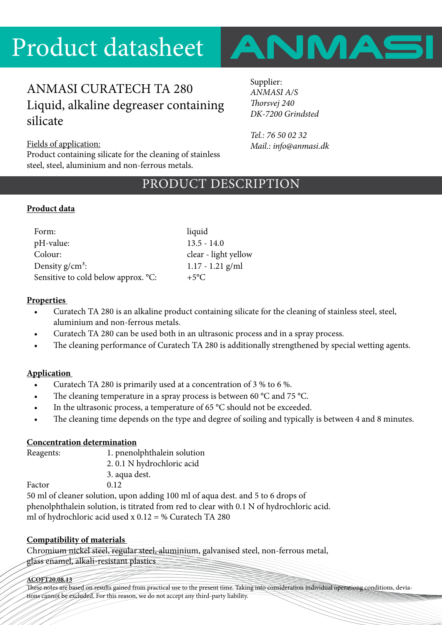

# ANMASI CURATECH TA 280 Liquid, alkaline degreaser containing silicate

Supplier: *ANMASI A/S Thorsvej 240 DK-7200 Grindsted*

*Tel.: 76 50 02 32 Mail.: info@anmasi.dk*

### Fields of application:

Product containing silicate for the cleaning of stainless steel, steel, aluminium and non-ferrous metals.

# PRODUCT DESCRIPTION

### **Product data**

| Form:                               | liquid               |
|-------------------------------------|----------------------|
| pH-value:                           | $13.5 - 14.0$        |
| Colour:                             | clear - light yellow |
| Density $g/cm^3$ :                  | $1.17 - 1.21$ g/ml   |
| Sensitive to cold below approx. °C: | $+5^{\circ}C$        |

### **Properties**

- Curatech TA 280 is an alkaline product containing silicate for the cleaning of stainless steel, steel, aluminium and non-ferrous metals.
- Curatech TA 280 can be used both in an ultrasonic process and in a spray process.
- The cleaning performance of Curatech TA 280 is additionally strengthened by special wetting agents.

### **Application**

- Curatech TA 280 is primarily used at a concentration of 3 % to 6 %.
- The cleaning temperature in a spray process is between 60  $\degree$ C and 75  $\degree$ C.
- In the ultrasonic process, a temperature of 65  $^{\circ}$ C should not be exceeded.
- The cleaning time depends on the type and degree of soiling and typically is between 4 and 8 minutes.

### **Concentration determination**

| Reagents: | 1. pnenolphthalein solution                                         |  |
|-----------|---------------------------------------------------------------------|--|
|           | 2.0.1 N hydrochloric acid                                           |  |
|           | 3. aqua dest.                                                       |  |
| Factor    | 0.12                                                                |  |
|           | $\Box$ and a following a latter compared that $\Box$ 100 mJ of case |  |

50 ml of cleaner solution, upon adding 100 ml of aqua dest. and 5 to 6 drops of phenolphthalein solution, is titrated from red to clear with 0.1 N of hydrochloric acid. ml of hydrochloric acid used x  $0.12 = \%$  Curatech TA 280

### **Compatibility of materials**

Chromium nickel steel, regular steel, aluminium, galvanised steel, non-ferrous metal, glass enamel, alkali-resistant plastics

#### **ACOFT20.08.13**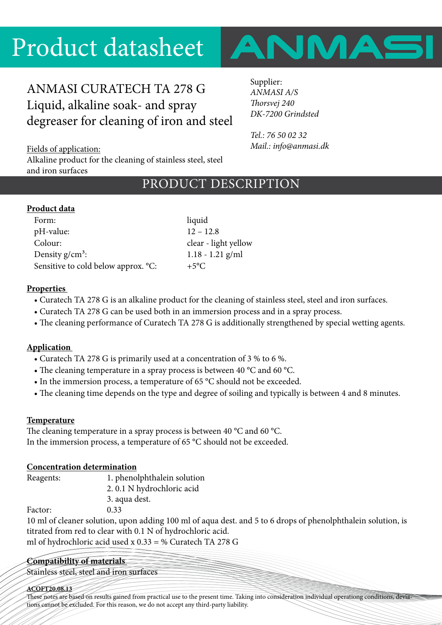

# ANMASI CURATECH TA 278 G Liquid, alkaline soak- and spray degreaser for cleaning of iron and steel

Supplier: *ANMASI A/S Thorsvej 240 DK-7200 Grindsted*

*Tel.: 76 50 02 32 Mail.: info@anmasi.dk*

Fields of application:

Alkaline product for the cleaning of stainless steel, steel and iron surfaces

# PRODUCT DESCRIPTION

## **Product data**

| liquid               |
|----------------------|
| $12 - 12.8$          |
| clear - light yellow |
| $1.18 - 1.21$ g/ml   |
| $+5^{\circ}C$        |
|                      |

## **Properties**

- Curatech TA 278 G is an alkaline product for the cleaning of stainless steel, steel and iron surfaces.
- Curatech TA 278 G can be used both in an immersion process and in a spray process.
- The cleaning performance of Curatech TA 278 G is additionally strengthened by special wetting agents.

## **Application**

- Curatech TA 278 G is primarily used at a concentration of 3 % to 6 %.
- The cleaning temperature in a spray process is between 40 °C and 60 °C.
- In the immersion process, a temperature of 65 °C should not be exceeded.
- The cleaning time depends on the type and degree of soiling and typically is between 4 and 8 minutes.

## **Temperature**

The cleaning temperature in a spray process is between 40 °C and 60 °C. In the immersion process, a temperature of 65 °C should not be exceeded.

## **Concentration determination**

Reagents: 1. phenolphthalein solution

2. 0.1 N hydrochloric acid

3. aqua dest.

Factor: 0.33

10 ml of cleaner solution, upon adding 100 ml of aqua dest. and 5 to 6 drops of phenolphthalein solution, is titrated from red to clear with 0.1 N of hydrochloric acid. ml of hydrochloric acid used x 0.33 = % Curatech TA 278 G

## **Compatibility of materials**

Stainless steel, steel and iron surfaces

### **ACOFT20.08.13**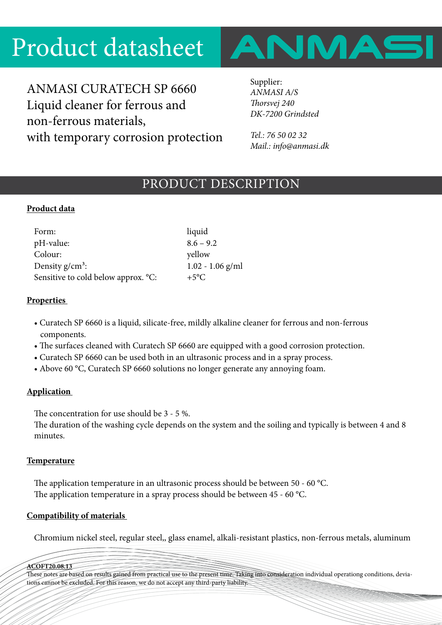

ANMASI CURATECH SP 6660 Liquid cleaner for ferrous and non-ferrous materials, with temporary corrosion protection Supplier: *ANMASI A/S Thorsvej 240 DK-7200 Grindsted*

*Tel.: 76 50 02 32 Mail.: info@anmasi.dk*

## PRODUCT DESCRIPTION

## **Product data**

| Form:                               | liquid             |
|-------------------------------------|--------------------|
| pH-value:                           | $8.6 - 9.2$        |
| Colour:                             | yellow             |
| Density $g/cm^3$ :                  | $1.02 - 1.06$ g/ml |
| Sensitive to cold below approx. °C: | $+5^{\circ}C$      |

### **Properties**

- Curatech SP 6660 is a liquid, silicate-free, mildly alkaline cleaner for ferrous and non-ferrous components.
- The surfaces cleaned with Curatech SP 6660 are equipped with a good corrosion protection.
- Curatech SP 6660 can be used both in an ultrasonic process and in a spray process.
- Above 60 °C, Curatech SP 6660 solutions no longer generate any annoying foam.

### **Application**

The concentration for use should be 3 - 5 %.

The duration of the washing cycle depends on the system and the soiling and typically is between 4 and 8 minutes.

### **Temperature**

The application temperature in an ultrasonic process should be between 50 - 60 °C. The application temperature in a spray process should be between 45 - 60 °C.

### **Compatibility of materials**

Chromium nickel steel, regular steel,, glass enamel, alkali-resistant plastics, non-ferrous metals, aluminum

**ACOFT20.08.13**